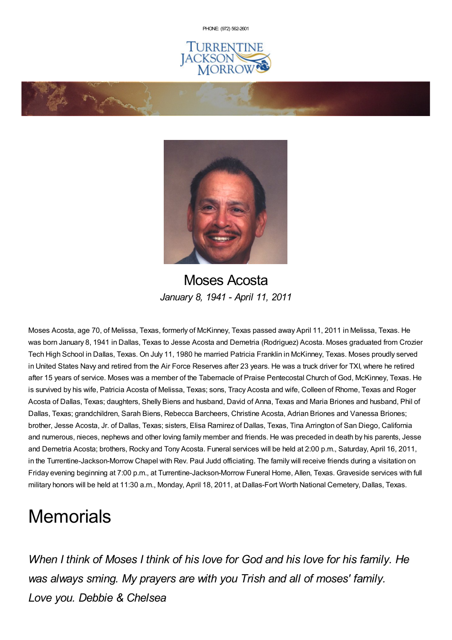PHONE: (972) [562-2601](tel:(972) 562-2601)







Moses Acosta *January 8, 1941 - April 11, 2011*

Moses Acosta, age 70, of Melissa, Texas, formerly of McKinney, Texas passed away April 11, 2011 in Melissa, Texas. He was born January 8, 1941 in Dallas, Texas to Jesse Acosta and Demetria (Rodriguez) Acosta. Moses graduated from Crozier Tech High School in Dallas, Texas. On July 11, 1980 he married Patricia Franklin in McKinney, Texas. Moses proudly served in United States Navy and retired from the Air Force Reserves after 23 years. He was a truck driver for TXI, where he retired after 15 years of service. Moses was a member of the Tabernacle of Praise Pentecostal Church of God, McKinney, Texas. He is survived by his wife, Patricia Acosta of Melissa, Texas; sons, Tracy Acosta and wife, Colleen of Rhome, Texas and Roger Acosta of Dallas, Texas; daughters, Shelly Biens and husband, David of Anna, Texas and Maria Briones and husband, Phil of Dallas, Texas; grandchildren, Sarah Biens, Rebecca Barcheers, Christine Acosta, Adrian Briones and Vanessa Briones; brother, Jesse Acosta, Jr. of Dallas, Texas; sisters, Elisa Ramirez of Dallas, Texas, Tina Arrington of San Diego, California and numerous, nieces, nephews and other loving family member and friends. He was preceded in death by his parents, Jesse and Demetria Acosta; brothers, Rocky and Tony Acosta. Funeral services will be held at 2:00 p.m., Saturday, April 16, 2011, in the Turrentine-Jackson-Morrow Chapel with Rev. Paul Judd officiating. The family will receive friends during a visitation on Friday evening beginning at 7:00 p.m., at Turrentine-Jackson-Morrow Funeral Home, Allen, Texas. Graveside services with full military honors will be held at 11:30 a.m., Monday, April 18, 2011, at Dallas-Fort Worth National Cemetery, Dallas, Texas.

# **Memorials**

*When I think of Moses I think of his love for God and his love for his family. He was always sming. My prayers are with you Trish and all of moses' family. Love you. Debbie & Chelsea*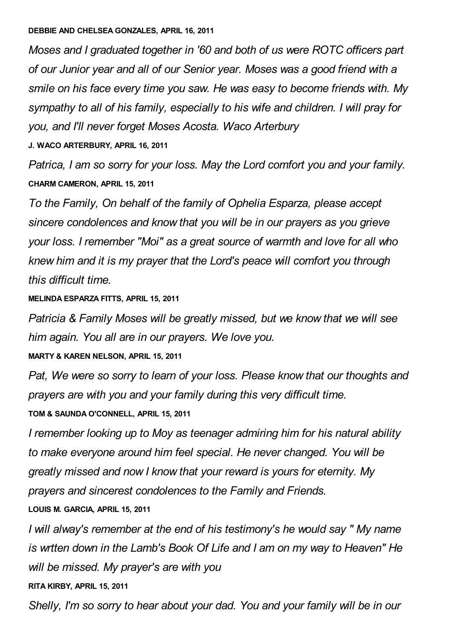#### **DEBBIE AND CHELSEA GONZALES, APRIL 16, 2011**

*Moses and I graduated together in '60 and both of us were ROTC officers part of our Junior year and all of our Senior year. Moses was a good friend with a smile on his face every time you saw. He was easy to become friends with. My sympathy to all of his family, especially to his wife and children. I will pray for you, and I'll never forget Moses Acosta. Waco Arterbury*

**J. WACO ARTERBURY, APRIL 16, 2011**

*Patrica, I am so sorry for your loss. May the Lord comfort you and your family.* **CHARM CAMERON, APRIL 15, 2011**

*To the Family, On behalf of the family of Ophelia Esparza, please accept sincere condolences and know that you will be in our prayers as you grieve your loss. I remember "Moi" as a great source of warmth and love for all who knew him and it is my prayer that the Lord's peace will comfort you through this difficult time.*

#### **MELINDA ESPARZA FITTS, APRIL 15, 2011**

*Patricia & Family Moses will be greatly missed, but we know that we will see him again. You all are in our prayers. We love you.*

### **MARTY & KAREN NELSON, APRIL 15, 2011**

*Pat, We were so sorry to learn of your loss. Please know that our thoughts and prayers are with you and your family during this very difficult time.*

**TOM & SAUNDA O'CONNELL, APRIL 15, 2011**

*I remember looking up to Moy as teenager admiring him for his natural ability to make everyone around him feel special. He never changed. You will be greatly missed and now I know that your reward is yours for eternity. My prayers and sincerest condolences to the Family and Friends.*

### **LOUIS M. GARCIA, APRIL 15, 2011**

*I will alway's remember at the end of his testimony's he would say " My name is wrtten down in the Lamb's Book Of Life and I am on my way to Heaven" He will be missed. My prayer's are with you*

#### **RITA KIRBY, APRIL 15, 2011**

*Shelly, I'm so sorry to hear about your dad. You and your family will be in our*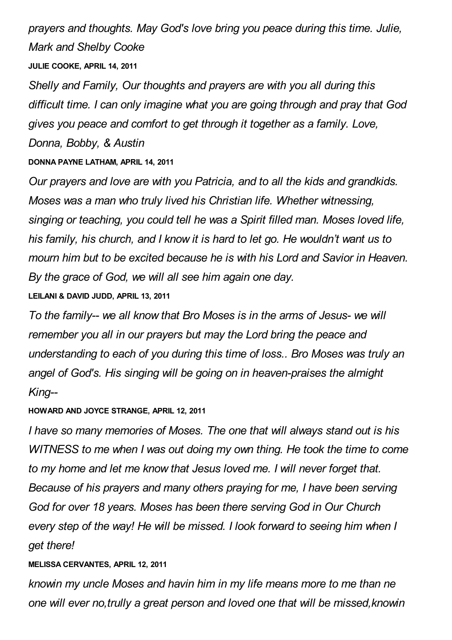*prayers and thoughts. May God's love bring you peace during this time. Julie, Mark and Shelby Cooke*

**JULIE COOKE, APRIL 14, 2011**

*Shelly and Family, Our thoughts and prayers are with you all during this difficult time. I can only imagine what you are going through and pray that God gives you peace and comfort to get through it together as a family. Love, Donna, Bobby, & Austin*

**DONNA PAYNE LATHAM, APRIL 14, 2011**

*Our prayers and love are with you Patricia, and to all the kids and grandkids. Moses was a man who truly lived his Christian life. Whether witnessing, singing or teaching, you could tell he was a Spirit filled man. Moses loved life, his family, his church, and I know it is hard to let go. He wouldn't want us to mourn him but to be excited because he is with his Lord and Savior in Heaven. By the grace of God, we will all see him again one day.*

**LEILANI & DAVID JUDD, APRIL 13, 2011**

*To the family-- we all know that Bro Moses is in the arms of Jesus- we will remember you all in our prayers but may the Lord bring the peace and understanding to each of you during this time of loss.. Bro Moses was truly an angel of God's. His singing will be going on in heaven-praises the almight King--*

# **HOWARD AND JOYCE STRANGE, APRIL 12, 2011**

*I have so many memories of Moses. The one that will always stand out is his WITNESS to me when I was out doing my own thing. He took the time to come to my home and let me know that Jesus loved me. I will never forget that. Because of his prayers and many others praying for me, I have been serving God for over 18 years. Moses has been there serving God in Our Church every step of the way! He will be missed. I look forward to seeing him when I get there!*

# **MELISSA CERVANTES, APRIL 12, 2011**

*knowin my uncle Moses and havin him in my life means more to me than ne one will ever no,trully a great person and loved one that will be missed,knowin*